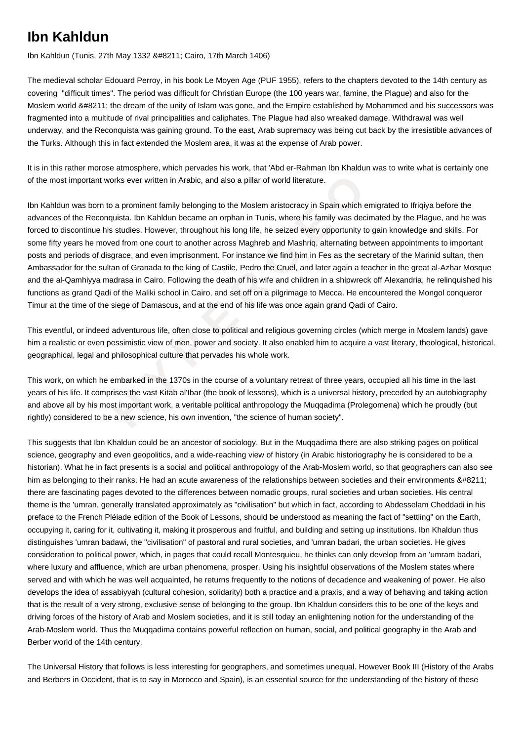## **Ibn Kahldun**

Ibn Kahldun (Tunis, 27th May 1332 – Cairo, 17th March 1406)

The medieval scholar Edouard Perroy, in his book Le Moyen Age (PUF 1955), refers to the chapters devoted to the 14th century as covering "difficult times". The period was difficult for Christian Europe (the 100 years war, famine, the Plague) and also for the Moslem world – the dream of the unity of Islam was gone, and the Empire established by Mohammed and his successors was fragmented into a multitude of rival principalities and caliphates. The Plague had also wreaked damage. Withdrawal was well underway, and the Reconquista was gaining ground. To the east, Arab supremacy was being cut back by the irresistible advances of the Turks. Although this in fact extended the Moslem area, it was at the expense of Arab power.

It is in this rather morose atmosphere, which pervades his work, that 'Abd er-Rahman Ibn Khaldun was to write what is certainly one of the most important works ever written in Arabic, and also a pillar of world literature.

thant works ever written in Arabic, and also a pillar of world literature.<br> **born to a prominent family belonging to the Moslem aristocracy in Spain which emical<br>
Reconquista. Ibn Kahldun became an orphan in Tunis, where h** Ibn Kahldun was born to a prominent family belonging to the Moslem aristocracy in Spain which emigrated to Ifriqiya before the advances of the Reconquista. Ibn Kahldun became an orphan in Tunis, where his family was decimated by the Plague, and he was forced to discontinue his studies. However, throughout his long life, he seized every opportunity to gain knowledge and skills. For some fifty years he moved from one court to another across Maghreb and Mashriq, alternating between appointments to important posts and periods of disgrace, and even imprisonment. For instance we find him in Fes as the secretary of the Marinid sultan, then Ambassador for the sultan of Granada to the king of Castile, Pedro the Cruel, and later again a teacher in the great al-Azhar Mosque and the al-Qamhiyya madrasa in Cairo. Following the death of his wife and children in a shipwreck off Alexandria, he relinquished his functions as grand Qadi of the Maliki school in Cairo, and set off on a pilgrimage to Mecca. He encountered the Mongol conqueror Timur at the time of the siege of Damascus, and at the end of his life was once again grand Qadi of Cairo.

This eventful, or indeed adventurous life, often close to political and religious governing circles (which merge in Moslem lands) gave him a realistic or even pessimistic view of men, power and society. It also enabled him to acquire a vast literary, theological, historical, geographical, legal and philosophical culture that pervades his whole work.

This work, on which he embarked in the 1370s in the course of a voluntary retreat of three years, occupied all his time in the last years of his life. It comprises the vast Kitab al'Ibar (the book of lessons), which is a universal history, preceded by an autobiography and above all by his most important work, a veritable political anthropology the Muqqadima (Prolegomena) which he proudly (but rightly) considered to be a new science, his own invention, "the science of human society".

This suggests that Ibn Khaldun could be an ancestor of sociology. But in the Muqqadima there are also striking pages on political science, geography and even geopolitics, and a wide-reaching view of history (in Arabic historiography he is considered to be a historian). What he in fact presents is a social and political anthropology of the Arab-Moslem world, so that geographers can also see him as belonging to their ranks. He had an acute awareness of the relationships between societies and their environments &#8211: there are fascinating pages devoted to the differences between nomadic groups, rural societies and urban societies. His central theme is the 'umran, generally translated approximately as "civilisation" but which in fact, according to Abdesselam Cheddadi in his preface to the French Pléiade edition of the Book of Lessons, should be understood as meaning the fact of "settling" on the Earth, occupying it, caring for it, cultivating it, making it prosperous and fruitful, and building and setting up institutions. Ibn Khaldun thus distinguishes 'umran badawi, the "civilisation" of pastoral and rural societies, and 'umran badari, the urban societies. He gives consideration to political power, which, in pages that could recall Montesquieu, he thinks can only develop from an 'umram badari, where luxury and affluence, which are urban phenomena, prosper. Using his insightful observations of the Moslem states where served and with which he was well acquainted, he returns frequently to the notions of decadence and weakening of power. He also develops the idea of assabiyyah (cultural cohesion, solidarity) both a practice and a praxis, and a way of behaving and taking action that is the result of a very strong, exclusive sense of belonging to the group. Ibn Khaldun considers this to be one of the keys and driving forces of the history of Arab and Moslem societies, and it is still today an enlightening notion for the understanding of the Arab-Moslem world. Thus the Muqqadima contains powerful reflection on human, social, and political geography in the Arab and Berber world of the 14th century.

The Universal History that follows is less interesting for geographers, and sometimes unequal. However Book III (History of the Arabs and Berbers in Occident, that is to say in Morocco and Spain), is an essential source for the understanding of the history of these